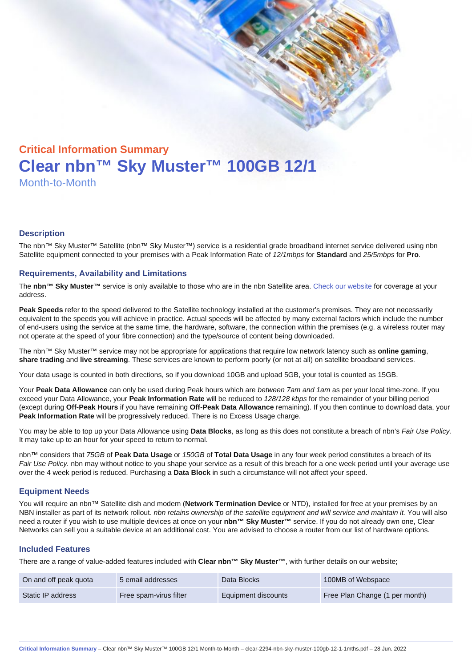# Critical Information Summary Clear nbn™ Sky Muster™ 100GB 12/1 Month-to-Month

#### **Description**

The nbn™ Sky Muster™ Satellite (nbn™ Sky Muster™) service is a residential grade broadband internet service delivered using nbn Satellite equipment connected to your premises with a Peak Information Rate of 12/1mbps for Standard and 25/5mbps for Pro.

#### Requirements, Availability and Limitations

The nbn™ Sky Muster™ service is only available to those who are in the nbn Satellite area. [Check our website](https://www.clear.com.au/business/nbn-sky-muster/availability-coverage/) for coverage at your address.

Peak Speeds refer to the speed delivered to the Satellite technology installed at the customer's premises. They are not necessarily equivalent to the speeds you will achieve in practice. Actual speeds will be affected by many external factors which include the number of end-users using the service at the same time, the hardware, software, the connection within the premises (e.g. a wireless router may not operate at the speed of your fibre connection) and the type/source of content being downloaded.

The nbn™ Sky Muster™ service may not be appropriate for applications that require low network latency such as online gaming , share trading and live streaming . These services are known to perform poorly (or not at all) on satellite broadband services.

Your data usage is counted in both directions, so if you download 10GB and upload 5GB, your total is counted as 15GB.

Your Peak Data Allowance can only be used during Peak hours which are between 7am and 1am as per your local time-zone. If you exceed your Data Allowance, your Peak Information Rate will be reduced to 128/128 kbps for the remainder of your billing period (except during Off-Peak Hours if you have remaining Off-Peak Data Allowance remaining). If you then continue to download data, your Peak Information Rate will be progressively reduced. There is no Excess Usage charge.

You may be able to top up your Data Allowance using Data Blocks , as long as this does not constitute a breach of nbn's Fair Use Policy. It may take up to an hour for your speed to return to normal.

nbn™ considers that 75GB of Peak Data Usage or 150GB of Total Data Usage in any four week period constitutes a breach of its Fair Use Policy. nbn may without notice to you shape your service as a result of this breach for a one week period until your average use over the 4 week period is reduced. Purchasing a Data Block in such a circumstance will not affect your speed.

#### Equipment Needs

You will require an nbn™ Satellite dish and modem (Network Termination Device or NTD), installed for free at your premises by an NBN installer as part of its network rollout. nbn retains ownership of the satellite equipment and will service and maintain it. You will also need a router if you wish to use multiple devices at once on your nbn™ Sky Muster™ service. If you do not already own one, Clear Networks can sell you a suitable device at an additional cost. You are advised to choose a router from our list of hardware options.

#### Included Features

There are a range of value-added features included with Clear nbn™ Sky Muster™ , with further details on our website;

| On and off peak quota | 5 email addresses      | Data Blocks         | 100MB of Webspace              |
|-----------------------|------------------------|---------------------|--------------------------------|
| Static IP address     | Free spam-virus filter | Equipment discounts | Free Plan Change (1 per month) |